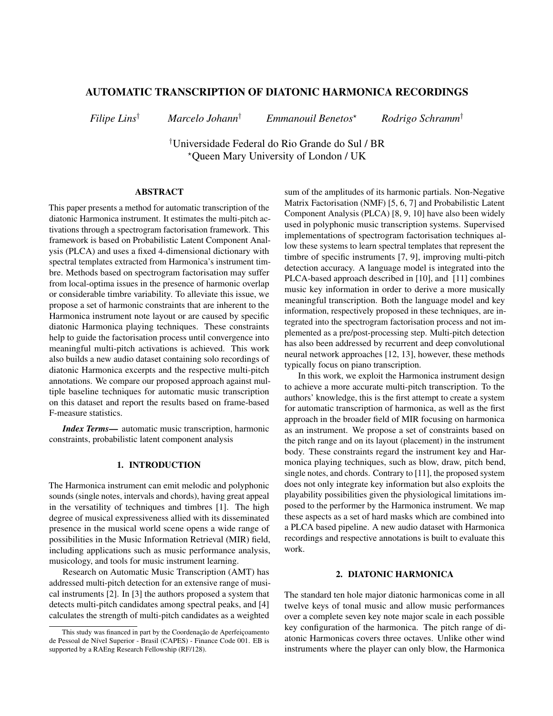# AUTOMATIC TRANSCRIPTION OF DIATONIC HARMONICA RECORDINGS

*Filipe Lins*† *Marcelo Johann*† *Emmanouil Benetos*? *Rodrigo Schramm*†

†Universidade Federal do Rio Grande do Sul / BR ?Queen Mary University of London / UK

# ABSTRACT

This paper presents a method for automatic transcription of the diatonic Harmonica instrument. It estimates the multi-pitch activations through a spectrogram factorisation framework. This framework is based on Probabilistic Latent Component Analysis (PLCA) and uses a fixed 4-dimensional dictionary with spectral templates extracted from Harmonica's instrument timbre. Methods based on spectrogram factorisation may suffer from local-optima issues in the presence of harmonic overlap or considerable timbre variability. To alleviate this issue, we propose a set of harmonic constraints that are inherent to the Harmonica instrument note layout or are caused by specific diatonic Harmonica playing techniques. These constraints help to guide the factorisation process until convergence into meaningful multi-pitch activations is achieved. This work also builds a new audio dataset containing solo recordings of diatonic Harmonica excerpts and the respective multi-pitch annotations. We compare our proposed approach against multiple baseline techniques for automatic music transcription on this dataset and report the results based on frame-based F-measure statistics.

*Index Terms*— automatic music transcription, harmonic constraints, probabilistic latent component analysis

# 1. INTRODUCTION

The Harmonica instrument can emit melodic and polyphonic sounds (single notes, intervals and chords), having great appeal in the versatility of techniques and timbres [1]. The high degree of musical expressiveness allied with its disseminated presence in the musical world scene opens a wide range of possibilities in the Music Information Retrieval (MIR) field, including applications such as music performance analysis, musicology, and tools for music instrument learning.

Research on Automatic Music Transcription (AMT) has addressed multi-pitch detection for an extensive range of musical instruments [2]. In [3] the authors proposed a system that detects multi-pitch candidates among spectral peaks, and [4] calculates the strength of multi-pitch candidates as a weighted

sum of the amplitudes of its harmonic partials. Non-Negative Matrix Factorisation (NMF) [5, 6, 7] and Probabilistic Latent Component Analysis (PLCA) [8, 9, 10] have also been widely used in polyphonic music transcription systems. Supervised implementations of spectrogram factorisation techniques allow these systems to learn spectral templates that represent the timbre of specific instruments [7, 9], improving multi-pitch detection accuracy. A language model is integrated into the PLCA-based approach described in [10], and [11] combines music key information in order to derive a more musically meaningful transcription. Both the language model and key information, respectively proposed in these techniques, are integrated into the spectrogram factorisation process and not implemented as a pre/post-processing step. Multi-pitch detection has also been addressed by recurrent and deep convolutional neural network approaches [12, 13], however, these methods typically focus on piano transcription.

In this work, we exploit the Harmonica instrument design to achieve a more accurate multi-pitch transcription. To the authors' knowledge, this is the first attempt to create a system for automatic transcription of harmonica, as well as the first approach in the broader field of MIR focusing on harmonica as an instrument. We propose a set of constraints based on the pitch range and on its layout (placement) in the instrument body. These constraints regard the instrument key and Harmonica playing techniques, such as blow, draw, pitch bend, single notes, and chords. Contrary to [11], the proposed system does not only integrate key information but also exploits the playability possibilities given the physiological limitations imposed to the performer by the Harmonica instrument. We map these aspects as a set of hard masks which are combined into a PLCA based pipeline. A new audio dataset with Harmonica recordings and respective annotations is built to evaluate this work.

#### 2. DIATONIC HARMONICA

The standard ten hole major diatonic harmonicas come in all twelve keys of tonal music and allow music performances over a complete seven key note major scale in each possible key configuration of the harmonica. The pitch range of diatonic Harmonicas covers three octaves. Unlike other wind instruments where the player can only blow, the Harmonica

This study was financed in part by the Coordenação de Aperfeiçoamento de Pessoal de Nível Superior - Brasil (CAPES) - Finance Code 001. EB is supported by a RAEng Research Fellowship (RF/128).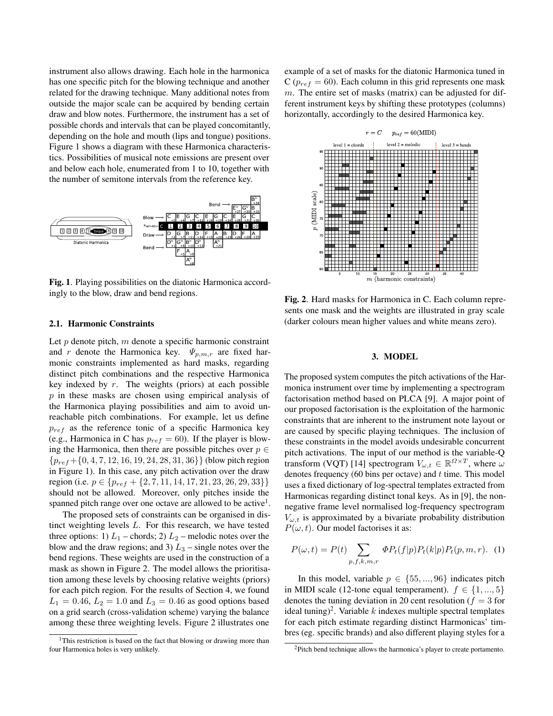instrument also allows drawing. Each hole in the harmonica has one specific pitch for the blowing technique and another related for the drawing technique. Many additional notes from outside the major scale can be acquired by bending certain draw and blow notes. Furthermore, the instrument has a set of possible chords and intervals that can be played concomitantly, depending on the hole and mouth (lips and tongue) positions. Figure 1 shows a diagram with these Harmonica characteristics. Possibilities of musical note emissions are present over and below each hole, enumerated from 1 to 10, together with the number of semitone intervals from the reference key.



Fig. 1. Playing possibilities on the diatonic Harmonica accordingly to the blow, draw and bend regions.

# 2.1. Harmonic Constraints

Let  $p$  denote pitch,  $m$  denote a specific harmonic constraint and r denote the Harmonica key.  $\Psi_{p,m,r}$  are fixed harmonic constraints implemented as hard masks, regarding distinct pitch combinations and the respective Harmonica key indexed by  $r$ . The weights (priors) at each possible p in these masks are chosen using empirical analysis of the Harmonica playing possibilities and aim to avoid unreachable pitch combinations. For example, let us define  $p_{ref}$  as the reference tonic of a specific Harmonica key (e.g., Harmonica in C has  $p_{ref} = 60$ ). If the player is blowing the Harmonica, then there are possible pitches over  $p \in$  ${p_{ref}$  + {0, 4, 7, 12, 16, 19, 24, 28, 31, 36}} (blow pitch region in Figure 1). In this case, any pitch activation over the draw region (i.e.  $p \in \{p_{ref} + \{2, 7, 11, 14, 17, 21, 23, 26, 29, 33\}\}\$ should not be allowed. Moreover, only pitches inside the spanned pitch range over one octave are allowed to be active<sup>1</sup>.

The proposed sets of constraints can be organised in distinct weighting levels L. For this research, we have tested three options: 1)  $L_1$  – chords; 2)  $L_2$  – melodic notes over the blow and the draw regions; and 3)  $L_3$  – single notes over the bend regions. These weights are used in the construction of a mask as shown in Figure 2. The model allows the prioritisation among these levels by choosing relative weights (priors) for each pitch region. For the results of Section 4, we found  $L_1 = 0.46$ ,  $L_2 = 1.0$  and  $L_3 = 0.46$  as good options based on a grid search (cross-validation scheme) varying the balance among these three weighting levels. Figure 2 illustrates one

example of a set of masks for the diatonic Harmonica tuned in  $C(p_{ref} = 60)$ . Each column in this grid represents one mask m. The entire set of masks (matrix) can be adjusted for different instrument keys by shifting these prototypes (columns) horizontally, accordingly to the desired Harmonica key.



Fig. 2. Hard masks for Harmonica in C. Each column represents one mask and the weights are illustrated in gray scale (darker colours mean higher values and white means zero).

#### 3. MODEL

The proposed system computes the pitch activations of the Harmonica instrument over time by implementing a spectrogram factorisation method based on PLCA [9]. A major point of our proposed factorisation is the exploitation of the harmonic constraints that are inherent to the instrument note layout or are caused by specific playing techniques. The inclusion of these constraints in the model avoids undesirable concurrent pitch activations. The input of our method is the variable-Q transform (VQT) [14] spectrogram  $V_{\omega,t} \in \mathbb{R}^{Q \times T}$ , where  $\omega$ denotes frequency (60 bins per octave) and  $t$  time. This model uses a fixed dictionary of log-spectral templates extracted from Harmonicas regarding distinct tonal keys. As in [9], the nonnegative frame level normalised log-frequency spectrogram  $V_{\omega,t}$  is approximated by a bivariate probability distribution  $P(\omega, t)$ . Our model factorises it as:

$$
P(\omega, t) = P(t) \sum_{p,f,k,m,r} \Phi P_t(f|p) P_t(k|p) P_t(p,m,r). \tag{1}
$$

In this model, variable  $p \in \{55, ..., 96\}$  indicates pitch in MIDI scale (12-tone equal temperament).  $f \in \{1, ..., 5\}$ denotes the tuning deviation in 20 cent resolution ( $f = 3$  for ideal tuning)<sup>2</sup>. Variable k indexes multiple spectral templates for each pitch estimate regarding distinct Harmonicas' timbres (eg. specific brands) and also different playing styles for a

<sup>&</sup>lt;sup>1</sup>This restriction is based on the fact that blowing or drawing more than four Harmonica holes is very unlikely.

<sup>&</sup>lt;sup>2</sup>Pitch bend technique allows the harmonica's player to create portamento.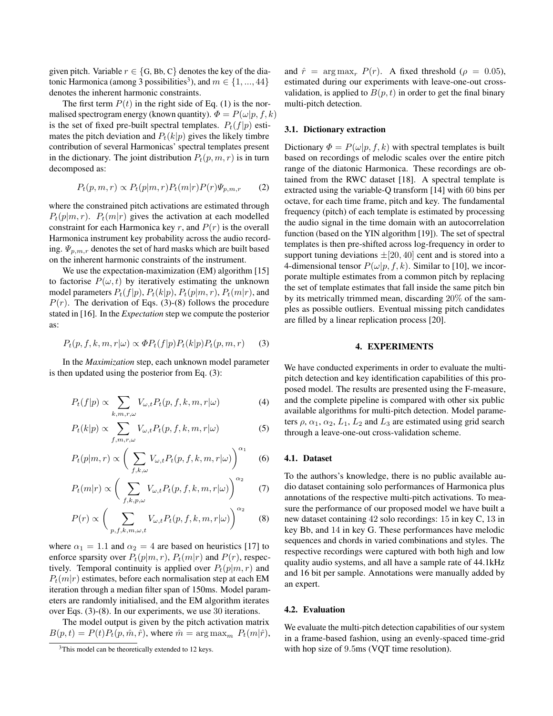given pitch. Variable  $r \in \{G, Bb, C\}$  denotes the key of the diatonic Harmonica (among 3 possibilities<sup>3</sup>), and  $m \in \{1, ..., 44\}$ denotes the inherent harmonic constraints.

The first term  $P(t)$  in the right side of Eq. (1) is the normalised spectrogram energy (known quantity).  $\Phi = P(\omega | p, f, k)$ is the set of fixed pre-built spectral templates.  $P_t(f|p)$  estimates the pitch deviation and  $P_t(k|p)$  gives the likely timbre contribution of several Harmonicas' spectral templates present in the dictionary. The joint distribution  $P_t(p, m, r)$  is in turn decomposed as:

$$
P_t(p, m, r) \propto P_t(p|m, r) P_t(m|r) P(r) \Psi_{p,m,r} \tag{2}
$$

where the constrained pitch activations are estimated through  $P_t(p|m,r)$ .  $P_t(m|r)$  gives the activation at each modelled constraint for each Harmonica key r, and  $P(r)$  is the overall Harmonica instrument key probability across the audio recording.  $\Psi_{p,m,r}$  denotes the set of hard masks which are built based on the inherent harmonic constraints of the instrument.

We use the expectation-maximization (EM) algorithm [15] to factorise  $P(\omega, t)$  by iteratively estimating the unknown model parameters  $P_t(f|p)$ ,  $P_t(k|p)$ ,  $P_t(p|m, r)$ ,  $P_t(m|r)$ , and  $P(r)$ . The derivation of Eqs. (3)-(8) follows the procedure stated in [16]. In the *Expectation* step we compute the posterior as:

$$
P_t(p, f, k, m, r | \omega) \propto \Phi P_t(f | p) P_t(k | p) P_t(p, m, r) \tag{3}
$$

In the *Maximization* step, each unknown model parameter is then updated using the posterior from Eq. (3):

$$
P_t(f|p) \propto \sum_{k,m,r,\omega} V_{\omega,t} P_t(p,f,k,m,r|\omega)
$$
 (4)

$$
P_t(k|p) \propto \sum_{f,m,r,\omega} V_{\omega,t} P_t(p,f,k,m,r|\omega) \tag{5}
$$

$$
P_t(p|m,r) \propto \left(\sum_{f,k,\omega} V_{\omega,t} P_t(p,f,k,m,r|\omega)\right)^{\alpha_1} \quad (6)
$$

$$
P_t(m|r) \propto \left(\sum_{f,k,p,\omega} V_{\omega,t} P_t(p,f,k,m,r|\omega)\right)^{\alpha_2} \tag{7}
$$

$$
P(r) \propto \left(\sum_{p,f,k,m,\omega,t} V_{\omega,t} P_t(p,f,k,m,r|\omega)\right)^{\alpha_2} \quad (8)
$$

where  $\alpha_1 = 1.1$  and  $\alpha_2 = 4$  are based on heuristics [17] to enforce sparsity over  $P_t(p|m, r)$ ,  $P_t(m|r)$  and  $P(r)$ , respectively. Temporal continuity is applied over  $P_t(p|m, r)$  and  $P_t(m|r)$  estimates, before each normalisation step at each EM iteration through a median filter span of 150ms. Model parameters are randomly initialised, and the EM algorithm iterates over Eqs. (3)-(8). In our experiments, we use 30 iterations.

The model output is given by the pitch activation matrix  $B(p,t) = P(t)P_t(p, \hat{m}, \hat{r})$ , where  $\hat{m} = \arg \max_m P_t(m|\hat{r})$ , and  $\hat{r} = \arg \max_{r} P(r)$ . A fixed threshold ( $\rho = 0.05$ ), estimated during our experiments with leave-one-out crossvalidation, is applied to  $B(p, t)$  in order to get the final binary multi-pitch detection.

# 3.1. Dictionary extraction

Dictionary  $\Phi = P(\omega | p, f, k)$  with spectral templates is built based on recordings of melodic scales over the entire pitch range of the diatonic Harmonica. These recordings are obtained from the RWC dataset [18]. A spectral template is extracted using the variable-Q transform [14] with 60 bins per octave, for each time frame, pitch and key. The fundamental frequency (pitch) of each template is estimated by processing the audio signal in the time domain with an autocorrelation function (based on the YIN algorithm [19]). The set of spectral templates is then pre-shifted across log-frequency in order to support tuning deviations  $\pm$ [20, 40] cent and is stored into a 4-dimensional tensor  $P(\omega|p, f, k)$ . Similar to [10], we incorporate multiple estimates from a common pitch by replacing the set of template estimates that fall inside the same pitch bin by its metrically trimmed mean, discarding 20% of the samples as possible outliers. Eventual missing pitch candidates are filled by a linear replication process [20].

#### 4. EXPERIMENTS

We have conducted experiments in order to evaluate the multipitch detection and key identification capabilities of this proposed model. The results are presented using the F-measure, and the complete pipeline is compared with other six public available algorithms for multi-pitch detection. Model parameters  $\rho$ ,  $\alpha_1$ ,  $\alpha_2$ ,  $L_1$ ,  $L_2$  and  $L_3$  are estimated using grid search through a leave-one-out cross-validation scheme.

# 4.1. Dataset

To the authors's knowledge, there is no public available audio dataset containing solo performances of Harmonica plus annotations of the respective multi-pitch activations. To measure the performance of our proposed model we have built a new dataset containing 42 solo recordings: 15 in key C, 13 in key Bb, and 14 in key G. These performances have melodic sequences and chords in varied combinations and styles. The respective recordings were captured with both high and low quality audio systems, and all have a sample rate of 44.1kHz and 16 bit per sample. Annotations were manually added by an expert.

# 4.2. Evaluation

We evaluate the multi-pitch detection capabilities of our system in a frame-based fashion, using an evenly-spaced time-grid with hop size of 9.5ms (VQT time resolution).

<sup>&</sup>lt;sup>3</sup>This model can be theoretically extended to 12 keys.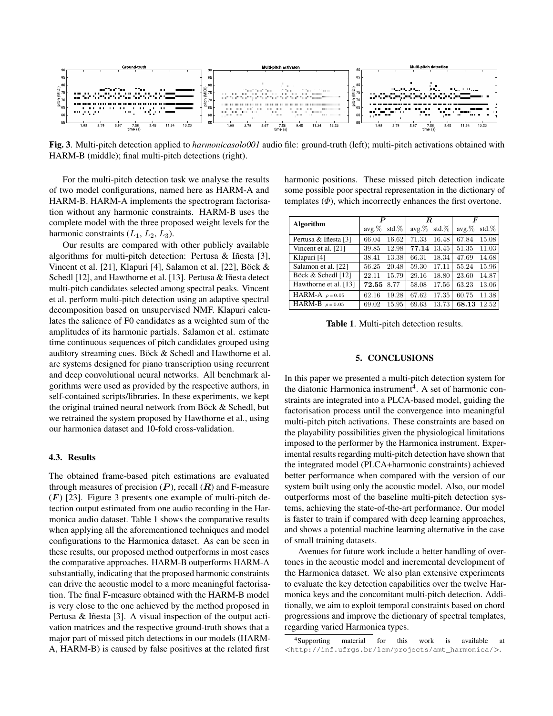

Fig. 3. Multi-pitch detection applied to *harmonicasolo001* audio file: ground-truth (left); multi-pitch activations obtained with HARM-B (middle); final multi-pitch detections (right).

For the multi-pitch detection task we analyse the results of two model configurations, named here as HARM-A and HARM-B. HARM-A implements the spectrogram factorisation without any harmonic constraints. HARM-B uses the complete model with the three proposed weight levels for the harmonic constraints  $(L_1, L_2, L_3)$ .

Our results are compared with other publicly available algorithms for multi-pitch detection: Pertusa & Iñesta [3], Vincent et al. [21], Klapuri [4], Salamon et al. [22], Böck  $\&$ Schedl [12], and Hawthorne et al. [13]. Pertusa & Iñesta detect multi-pitch candidates selected among spectral peaks. Vincent et al. perform multi-pitch detection using an adaptive spectral decomposition based on unsupervised NMF. Klapuri calculates the salience of F0 candidates as a weighted sum of the amplitudes of its harmonic partials. Salamon et al. estimate time continuous sequences of pitch candidates grouped using auditory streaming cues. Böck  $&$  Schedl and Hawthorne et al. are systems designed for piano transcription using recurrent and deep convolutional neural networks. All benchmark algorithms were used as provided by the respective authors, in self-contained scripts/libraries. In these experiments, we kept the original trained neural network from Böck  $&$  Schedl, but we retrained the system proposed by Hawthorne et al., using our harmonica dataset and 10-fold cross-validation.

# 4.3. Results

The obtained frame-based pitch estimations are evaluated through measures of precision  $(P)$ , recall  $(R)$  and F-measure  $(F)$  [23]. Figure 3 presents one example of multi-pitch detection output estimated from one audio recording in the Harmonica audio dataset. Table 1 shows the comparative results when applying all the aforementioned techniques and model configurations to the Harmonica dataset. As can be seen in these results, our proposed method outperforms in most cases the comparative approaches. HARM-B outperforms HARM-A substantially, indicating that the proposed harmonic constraints can drive the acoustic model to a more meaningful factorisation. The final F-measure obtained with the HARM-B model is very close to the one achieved by the method proposed in Pertusa & Iñesta [3]. A visual inspection of the output activation matrices and the respective ground-truth shows that a major part of missed pitch detections in our models (HARM-A, HARM-B) is caused by false positives at the related first

harmonic positions. These missed pitch detection indicate some possible poor spectral representation in the dictionary of templates  $(\Phi)$ , which incorrectly enhances the first overtone.

| Algorithm             | P        |          | R.             |       | F        |          |
|-----------------------|----------|----------|----------------|-------|----------|----------|
|                       | $avg.\%$ | std. $%$ | $avg.\%$ std.% |       | $avg.\%$ | std. $%$ |
| Pertusa & Iñesta [3]  | 66.04    | 16.62    | 71.33          | 16.48 | 67.84    | 15.08    |
| Vincent et al. [21]   | 39.85    | 12.98    | 77.14          | 13.45 | 51.35    | 11.03    |
| Klapuri [4]           | 38.41    | 13.38    | 66.31          | 18.34 | 47.69    | 14.68    |
| Salamon et al. [22]   | 56.25    | 20.48    | 59.30          | 17.11 | 55.24    | 15.96    |
| Böck & Schedl [12]    | 22.11    | 15.79    | 29.16          | 18.80 | 23.60    | 14.87    |
| Hawthorne et al. [13] | 72.55    | 8.77     | 58.08          | 17.56 | 63.23    | 13.06    |
| HARM-A $\rho = 0.05$  | 62.16    | 19.28    | 67.62          | 17.35 | 60.75    | 11.38    |
| HARM-B $\rho = 0.05$  | 69.02    | 15.95    | 69.63          | 13.73 | 68.13    | 12.52    |

Table 1. Multi-pitch detection results.

# 5. CONCLUSIONS

In this paper we presented a multi-pitch detection system for the diatonic Harmonica instrument<sup>4</sup>. A set of harmonic constraints are integrated into a PLCA-based model, guiding the factorisation process until the convergence into meaningful multi-pitch pitch activations. These constraints are based on the playability possibilities given the physiological limitations imposed to the performer by the Harmonica instrument. Experimental results regarding multi-pitch detection have shown that the integrated model (PLCA+harmonic constraints) achieved better performance when compared with the version of our system built using only the acoustic model. Also, our model outperforms most of the baseline multi-pitch detection systems, achieving the state-of-the-art performance. Our model is faster to train if compared with deep learning approaches, and shows a potential machine learning alternative in the case of small training datasets.

Avenues for future work include a better handling of overtones in the acoustic model and incremental development of the Harmonica dataset. We also plan extensive experiments to evaluate the key detection capabilities over the twelve Harmonica keys and the concomitant multi-pitch detection. Additionally, we aim to exploit temporal constraints based on chord progressions and improve the dictionary of spectral templates, regarding varied Harmonica types.

<sup>4</sup>Supporting material for this work is available at <http://inf.ufrgs.br/lcm/projects/amt\_harmonica/>.